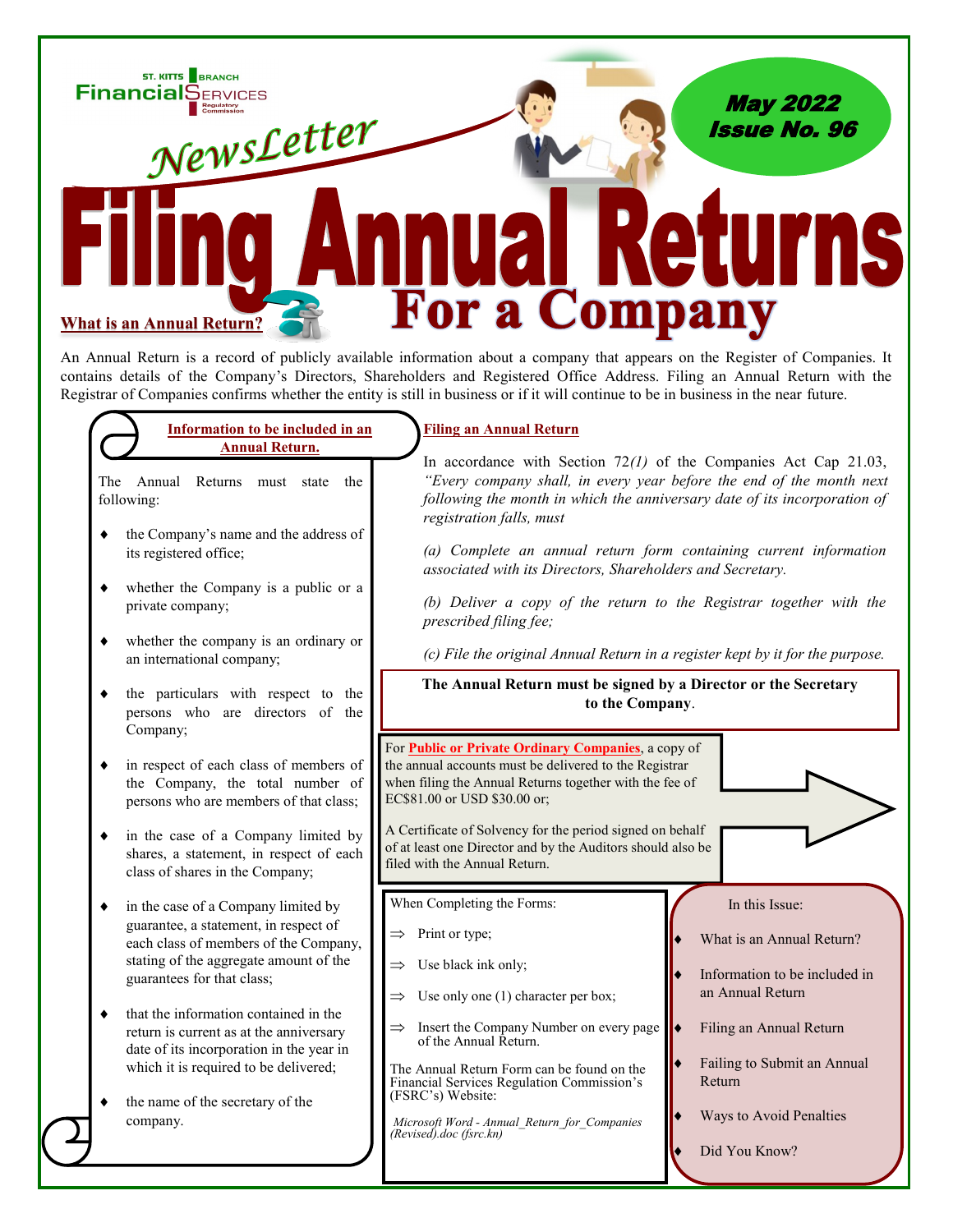

An Annual Return is a record of publicly available information about a company that appears on the Register of Companies. It contains details of the Company's Directors, Shareholders and Registered Office Address. Filing an Annual Return with the Registrar of Companies confirms whether the entity is still in business or if it will continue to be in business in the near future.

## **Information to be included in an Annual Return.**

The Annual Returns must state the following:

- the Company's name and the address of its registered office;
- whether the Company is a public or a private company;
- whether the company is an ordinary or an international company;
- the particulars with respect to the persons who are directors of the Company;
- in respect of each class of members of the Company, the total number of persons who are members of that class;
- in the case of a Company limited by shares, a statement, in respect of each class of shares in the Company;
- in the case of a Company limited by guarantee, a statement, in respect of each class of members of the Company, stating of the aggregate amount of the guarantees for that class;

 $\bullet$  that the information contained in the return is current as at the anniversary date of its incorporation in the year in which it is required to be delivered;

 the name of the secretary of the company.

## **Filing an Annual Return**

In accordance with Section 72*(1)* of the Companies Act Cap 21.03, *"Every company shall, in every year before the end of the month next following the month in which the anniversary date of its incorporation of registration falls, must*

*(a) Complete an annual return form containing current information associated with its Directors, Shareholders and Secretary.* 

*(b) Deliver a copy of the return to the Registrar together with the prescribed filing fee;* 

*(c) File the original Annual Return in a register kept by it for the purpose.* 

**The Annual Return must be signed by a Director or the Secretary to the Company**.